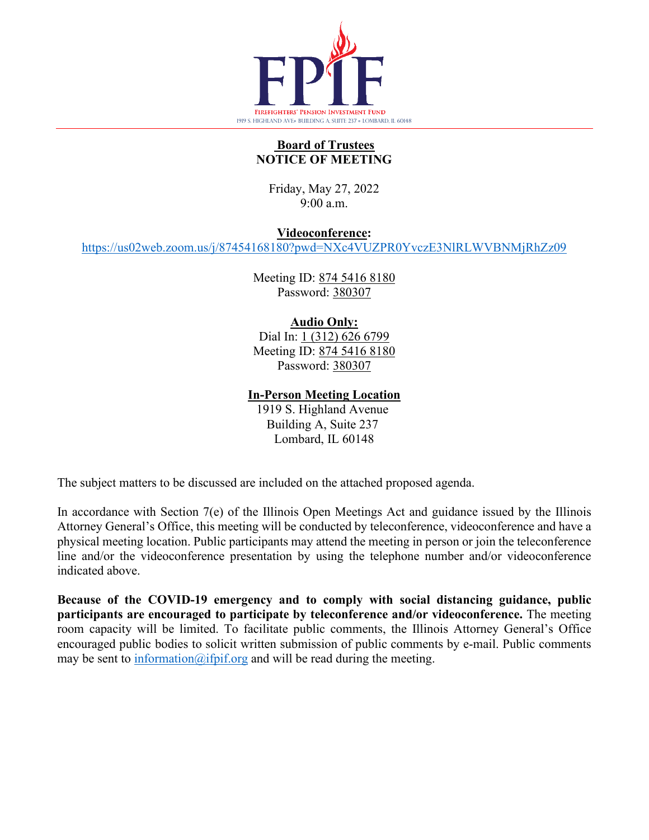

## **Board of Trustees NOTICE OF MEETING**

Friday, May 27, 2022 9:00 a.m.

**Videoconference:**

<https://us02web.zoom.us/j/87454168180?pwd=NXc4VUZPR0YvczE3NlRLWVBNMjRhZz09>

Meeting ID: 874 5416 8180 Password: 380307

## **Audio Only:**

Dial In: 1 (312) 626 6799 Meeting ID: 874 5416 8180 Password: 380307

**In-Person Meeting Location**

1919 S. Highland Avenue Building A, Suite 237 Lombard, IL 60148

The subject matters to be discussed are included on the attached proposed agenda.

In accordance with Section 7(e) of the Illinois Open Meetings Act and guidance issued by the Illinois Attorney General's Office, this meeting will be conducted by teleconference, videoconference and have a physical meeting location. Public participants may attend the meeting in person or join the teleconference line and/or the videoconference presentation by using the telephone number and/or videoconference indicated above.

**Because of the COVID-19 emergency and to comply with social distancing guidance, public participants are encouraged to participate by teleconference and/or videoconference.** The meeting room capacity will be limited. To facilitate public comments, the Illinois Attorney General's Office encouraged public bodies to solicit written submission of public comments by e-mail. Public comments may be sent to  $\frac{information(@ifpif.org; and will be read during the meeting.$